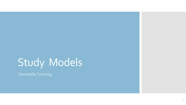# Study Models

Dentalelle Tutoring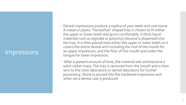#### **Impressions**

- Dental impressions produce a replica of your teeth and oral tissue. A metal or plastic "horseshoe" shaped tray is chosen to fit either the upper or lower teeth and gums comfortably. A thick liquid materials such as alginate or polyvinyl siloxane is dispensed into the tray. It is then placed onto either the upper or lower teeth so it covers the entire dental arch including the roof of the mouth for an upper impression, and the floor of the mouth and under the tongue for lower impression.
- After a present amount of time, the material sets and become a solid rubber mass. The tray is removed from the mouth and is then sent to the clinic laboratory or dental laboratory for further processing. Stone is poured into the hardened impression and when set a dental cast is produced.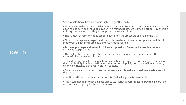#### How To

- Start by selecting a tray size that is slightly larger than arch.
- • Fluff or aerate the Jeltrate powder before dispensing. Pour measured amount of water into a clean mixing bowl and then add powder. This method is how we learned is school However it is not very practical when setting up for procedures ahead of time.
- • The number of recommended scoops depends on the procedure and size of the tray.
- • Fill scoop with powder, tap side with spatula then level off do not pack powder to tightly in scoop you will have to much powder to water ratio for mix.
- Two scoops are generally used for full arch impressions. Measure the matching amount of water with cup provided.
- The higher the water temperature the faster the impression material will set up. Use cooler water to allow more working time.
- If hand-mixing, rapidly mix alginate with a spatula, pressing the mixture against the side of the bowl. Mixing time is approximately1 minute. At this point, the mix should be a smooth, creamy consistency that does not fall off spatula.
- Collect alginate from sides of bowl with spatula and place the impression material evenly in the tray.
- • Set time is three minutes from start of mix. Fast set alginate is two minutes.
- It is recommended to wipe alginate on occlusal surfaces before seating tray to help prevent occurrence of trapping bubbles in impression.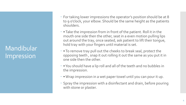Mandibular Impression

- For taking lower impressions the operator's position should be at 8 to 9 o'clock, your elbow. Should be the same height as the patients shoulders.
- Take the impression from in front of the patient. Roll it in the mouth one side then the other, seat in a even motion pulling lips out around the tray, once seated, ask patient to lift their tongue, hold tray with your fingers until material is set.
- To remove tray pull out the cheeks to break seal, protect the opposing teeth , snap it out rolling it out the same as you put it in one side then the other.
- You should have a lip roll and all of the teeth and no bubbles in the impression.
- Wrap impression in a wet paper towel until you can pour it up.
- Spray the impression with a disinfectant and drain, before pouring with stone or plaster.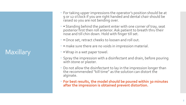# **Maxillary**

- For taking upper impressions the operator's position should be at 9 or 12 o'clock if you are right handed and dental chair should be raised so you are not bending over.
- • Standing behind the patient enter with one corner of tray, seat posterior first then roll anterior. Ask patient to breath thru their nose and till chin down. Hold with finger till set.
- Once set, retract cheeks to loosen and roll out.
- • make sure there are no voids in impression material.
- • Wrap in a wet paper towel.
- Spray the impression with a disinfectant and drain, before pouring with stone or plaster.
- Do not allow the disinfectant to lay in the impression longer than the recommended "kill time" as the solution can distort the alginate.
- **For best results, the model should be poured within 30 minutes after the impression is obtained prevent distortion.**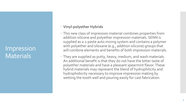## Impression **Materials**

#### **Vinyl-polyether Hybrids**

- This new class of impression material combines properties from addition silicone and polyether impression materials. SENN is supplied as a 2-paste auto mixing system and contains a polymer with polyether and siloxane (e.g., addition silicone) groups that will combine elements and benefits of both impression materials.
- They are supplied as putty, heavy, medium, and wash materials. An additional benefit is that they do not have the bitter taste of polyether materials and have a pleasant spearmint flavor. These hybrid materials may represent the blend of hydrophilicity and hydrophobicity necessary to improve impression making by wetting the tooth well and pouring easily for cast fabrication.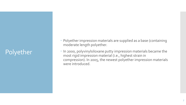# Polyether

- Polyether impression materials are supplied as a base (containing moderate length polyether.
- In 2000, polyvinylsiloxane putty impression materials became the most rigid impression material (i.e., highest strain in compression). In 2005, the newest polyether impression materials were introduced.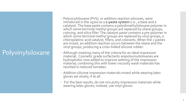# Polyvinylsiloxane

- Polyvinylsiloxane (PVS), or addition reaction silicones, were introduced in the 1970s as a **2-paste system** (i.e., a base and a catalyst). The base paste contains a polydimethylsiloxane polymer in which some terminal methyl groups are replaced by silane groups, coloring, and silica filler. The catalyst paste contains a pre-polymer in which some terminal methyl groups are replaced by vinyl groups, a chloroplatinic acid catalyst, fillers, and colorants. When the 2 pastes are mixed, an addition reaction occurs between the silane and the vinyl groups, producing a cross-linked silicone rubber.
- Although meeting many of the criteria for an ideal impression material,. Cosmetic grade surfactants arepolyvinylsiloxanes are hydrophobic now added to improve wetting of the impression material; combining this with lower viscosity wash materials has resulted in reduced remakes.
- Addition silicone impression materials mixed while wearing latex gloves set slowly, if at all.
- For the best results, do not mix putty impression materials while wearing latex gloves; instead, use vinyl gloves.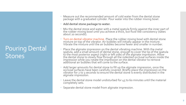# Pouring Dental **Stones**

- Measure out the recommended amount of cold water from the dental stone package with a graduated cylinder. Pour water into the rubber mixing bowl.
- **Add dental stone package to water.**
- Mix the dental stone and water with a metal spatula firmly against the inner part of the rubber mixing bowl until you achieve a thick, but fluid-like consistency (takes about 20 seconds).
- Turn on dental vibrator machine. Place the rubber mixing bowl with dental stone mixture on top of the vibrator. Air bubbles will initially appear in the mixture. Vibrate the mixture until the air bubbles become fewer and smaller in number.
- Place the alginate impression on the dental vibrating machine. With the metal spatula, add a small amount of dental stone, enough to cover the tip of the spatula to the most posterior aspect (right or left side) of the alginate impression. Allow the dental stone to slowly flow through all the indented occlusal surfaces inside the impression while you rotate the impression on the dental vibrator to remove additional air bubbles that will come to the surface.
- Add larger amounts for dental stone to fill up the alginate impression, once the occlusal surfaces have been carefully covered. Briefly place the impression on the vibrator for 2 to 3 seconds to ensure the dental stone is evenly distributed in the alginate impression.
- Leave the dental stone model undisturbed for 45 to 60 minutes until the material completely sets.
- Separate dental stone model from alginate impression.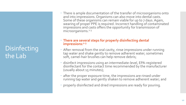# Disinfecting the Lab

 There is ample documentation of the transfer of microorganisms onto and into impressions. Organisms can also move into dental casts. Some of these organisms can remain viable for up to 7 days. Again, wearing of proper PPE is required. Incorrect handling of contaminated impressions and casts offers the opportunity for transmission of microorganisms.<sup>1-3</sup>

#### **There are several steps for properly disinfecting dental impressions:1-3**

- After removal from the oral cavity, rinse impressions under running tap water and shake gently to remove adherent water; sometimes soft, camel-hair brushes can help remove debris;
- disinfect impressions using an intermediate-level, EPA-registered disinfectant for the contact time recommended by the manufacturer (usually about 15 minutes);
- after the proper exposure time, the impressions are rinsed under running tap water and gently shaken to remove adherent water; and
- properly disinfected and dried impressions are ready for pouring.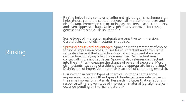# Rinsing

 $\ddot{\phantom{0}}$ 

 Rinsing helps in the removal of adherent microorganisms. Immersion helps ensure complete contact between all impression surfaces and disinfectant. Immersion can occur in glass beakers, plastic containers, and even zipper -seal bags. Unless specifically approved for reuse, germicides are single-use solutions.<sup>1-3</sup>

Some types of impression materials are sensitive to immersion. Careful'selection of disinfectants is required.

- Spraying has several advantages. Spraying is the treatment of choice for some impression types; it uses less disinfectant and often is the  $\,$ same disinfectant that a practice uses for environmental surface disinfection. Spraying is technique sensitive. Disinfectant must contact all impression surfaces. Spraying also releases disinfectant into the air, thus increasing the chance of personal exposure. Most disinfectants (except glutaraldehydes) are appropriate for spraying.<sup>2</sup> Disinfection of impression materials is an area of continuing research.
- Disinfection in certain types of chemical solutions harms some impression materials. Other types of disinfectants are safe to use on the same impression materials. Research indicates that variations in response within a given type of impression material (eg, alginate) can occur de-pending on the manufacturer. $^{\mathsf{2}}$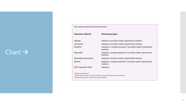## $Char \rightarrow$

| Table. Impression Materials and Disinfectant Choices.* |                                                                                                     |  |  |  |
|--------------------------------------------------------|-----------------------------------------------------------------------------------------------------|--|--|--|
| <b>Impression Material</b>                             | <b>Disinfecting Agent</b>                                                                           |  |  |  |
| Alginate                                               | iodophors and dilute sodium hypochlorite solutions                                                  |  |  |  |
| Compound                                               | iodophors and dilute sodium hypochlorite solutions                                                  |  |  |  |
| Polyether                                              | iodophors, <sup>#</sup> complex phenolics, <sup>#</sup> and dilute sodium hypochlorite<br>solutions |  |  |  |
| Polysulfide                                            | iodophors, complex phenolics, <sup>§</sup> and dilute sodium hypochlorite<br>solutions              |  |  |  |
| Reversible Hydrocolloid                                | iodophors and dilute sodium hypochlorite solutions                                                  |  |  |  |
| Silicone                                               | iodophors, complex phenolics, <sup>§</sup> and dilute sodium hypochlorite<br>solutions              |  |  |  |
| <b>ZOE Impression Paste</b>                            | iodophors                                                                                           |  |  |  |
| *Modified from Reference 3                             |                                                                                                     |  |  |  |
|                                                        | ·Use with caution; material is sensitive to immersion. Consult manufacturers' recommendations.      |  |  |  |

·Prepared according to the manufacturers' recommendations.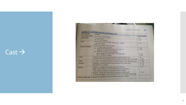$\text{Cast} \rightarrow$ 

| <b>CAST FEATURE</b>       | CHAPTER 11 . STUDY CASTS<br>TABLE 11-1 CRITERIA FOR AN ACCEPTABLE CAST                                                                                                                                                                                                                              | 201                                    |
|---------------------------|-----------------------------------------------------------------------------------------------------------------------------------------------------------------------------------------------------------------------------------------------------------------------------------------------------|----------------------------------------|
| <b>Overall base shape</b> |                                                                                                                                                                                                                                                                                                     |                                        |
| Proportions               | See Figure 11-6 with labels                                                                                                                                                                                                                                                                         | <b>FIGURE NUMBER</b>                   |
|                           | 1/3 art portion<br>2/3 anatomic portion                                                                                                                                                                                                                                                             | $11-6$<br>$11-5A$                      |
| <b>Bases</b>              |                                                                                                                                                                                                                                                                                                     |                                        |
|                           | Mean occlusal plane of the related casts = parallel<br>with both bases<br>Bases are parallel with each other                                                                                                                                                                                        | $11-5A$                                |
| <b>Posterior borders</b>  | (1) At right angle with bases<br>(2) Stand on the posterior borders: the casts rest<br>together in natural intercuspation<br>(3) Posterior borders are perpendicular<br>(a) to median line from incisors through palate<br>(b) to middle of tonque                                                  | 11-5B<br>11-58<br>$11-7A$<br>$11 - 7B$ |
| Sides                     | Symmetrical angulation with posterior border and heel cuts<br>Parallel with line through the occlusal grooves of the premolars of each side                                                                                                                                                         | $11 - 7$<br>$11-10A$                   |
| Heels                     | 1/2-inch cuts parallel with the mesiodistal plane of the opposite canine                                                                                                                                                                                                                            | $11 - 10B$                             |
| <b>Anterior</b>           | Maxillary: pointed with the cuts extending from canine area<br>Mandibular: arc shape                                                                                                                                                                                                                | $11-11A$<br>$11 - 118$                 |
| <b>Borders</b>            | Posterior: includes retromolar area and tuberosity<br>Sides: 1/4 to 5/16 inch from protuberance over premolars<br>and molars; anatomy of mucobuccal fold included<br>Anterior: 1/4 to 5/16 inch from the most protruded tooth<br>or from the depth of the mucobuccal fold, whichever is most facial | $11-7$<br>$11 - 11$                    |
| Surfaces of the cast      | Smooth and polished with air bubbles removed or filled                                                                                                                                                                                                                                              |                                        |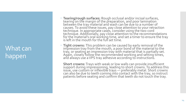# What can happen

- **Tearing/rough surfaces:** Rough occlusal and/or incisal surfaces, tearing on the margin of the preparation, and poor lamination, between the tray material and wash can be due to a number of causes. To avoid these issues, pay close attention to your retraction technique. In appropriate cases, consider using the two-cord technique. Additionally, pay close attention to the recommendations for the material's oral working time, and set a timer to ensure the tray  $\,$ is left in the mouth for the full set time.
- **Tight crowns:** This problem can be caused by early removal of the impression tray from the mouth, a poor bond of the material to the tray, or seating an impression tray with material that is partially set. Again, closely follow the recommended working and setting times, and always use a VPS tray adhesive according to instructions.

**Short crowns:** Trays with weak or low walls can provide insufficient support during impressioning, leading to short crowns. To address this issue, use custom or inflexible trays — preferably metal. Short crowns can also be due to teeth coming into contact with the tray, so instruct patients before seating and confirm that teeth do not touch the tray.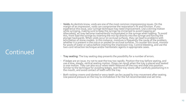# Continued

- **Voids:**As dentists know, voids are one of the most common impressioning issues. On the margin of an impression, voids can compromise the restoration's fit and function. If you experience this issue, your syringe technique may need improvement. Use a stirring motion while syringing, making sure to keep the syringe tip immersed to avoid trapping air. Alternately, air may become inadvertently incorporated in the syringe when loading. To avoid this, front load the syringe by inserting the mix tip directly into the syringe and forcing the plunger backwards. When voids occur on occlusal surfaces, they can lead to problems with articulation of stone models. In this instance, moisture is frequently the cause of the problem, whether it is present in the sulcus or pooled on occlusal surfaces. To counter this issue, monitor for pools of water or saliva before inserting the impression tray. Control bleeding, and use the two-cord retraction technique and/or hemostatic agents in appropriate cases.
- **Tray seating:** The tray seating step presents the possibility for a number of errors.
- If *ledges* are an issue, try not to seat the tray too rapidly. Position the tray before seating, and use a slow, steady, vertical seating motion. *Drags* can result when the tray is placed and seated in one motion. They can also occur when teeth rebound off the tray and slide into position. Similar to the technique for avoiding ledges, seat the tray slowly after carefully positioning it in the mouth, and avoid contact of teeth with the tray.
- Both *rocking crowns and slanted or wavy teeth* can be caused by tray movement after seating. Use passive pressure on the tray to immobilize it for the full recommended oral set time.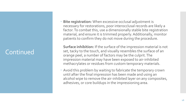# Continued

 **Bite registration:** When excessive occlusal adjustment is necessary for restorations, poor interocclusal records are likely a factor. To combat this, use a dimensionally stable bite registration material, and ensure it is trimmed properly. Additionally, monitor patients to confirm they do not move during the procedure.

**Surface inhibition:** If the surface of the impression material is not set, tacky to the touch, and visually resembles the surface of an orange peel, a number of factors may be the culprit. The impression material may have been exposed to air-inhibited methacrylates or residues from custom temporary materials.

 Avoid this problem by waiting to fabricate the temporary crown until after the final impression has been made and using an alcohol wipe to remove the air-inhibited layer on any composites, adhesives, or core buildups in the impressioning area.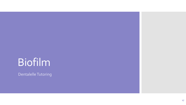# Biofilm

Dentalelle Tutoring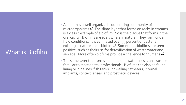# What is Biofilm

- A biofilm is a well organized, cooperating community of microorganisms.<sup>[5,6](http://www.dentalcare.com/en-US/dental-education/continuing-education/ce42/ce42.aspx?ModuleName=additionalreference&PartID=-1&SectionID=-1#5)</sup> The slime layer that forms on rocks in streams is a classic example of a biofilm. So is the plaque that forms in the oral cavity. Biofilms are everywhere in nature. They form under fluid conditions. It is estimated over 95 percent of bacteria existing in nature are in biofilms.<sup>[6](http://www.dentalcare.com/en-US/dental-education/continuing-education/ce42/ce42.aspx?ModuleName=additionalreference&PartID=-1&SectionID=-1#6)</sup> Sometimes biofilms are seen as positive, such as their use for detoxification of waste water and sewage. More often biofilms provide a challenge for humans.<sup>[3](http://www.dentalcare.com/en-US/dental-education/continuing-education/ce42/ce42.aspx?ModuleName=additionalreference&PartID=-1&SectionID=-1#3),[6](http://www.dentalcare.com/en-US/dental-education/continuing-education/ce42/ce42.aspx?ModuleName=additionalreference&PartID=-1&SectionID=-1#6)</sup>
- The slime layer that forms in dental unit water lines is an example familiar to most dental professionals. Biofilms can also be found lining oil pipelines, fish tanks, indwelling catheters, internal implants, contact lenses, and prosthetic devices.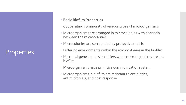# **Properties**

- **Basic Biofilm Properties**
- Cooperating community of various types of microorganisms
- Microorganisms are arranged in microcolonies with channels between the microcolonies
- Microcolonies are surrounded by protective matrix
- Differing environments within the microcolonies in the biofilm
- Microbial gene expression differs when microorganisms are in a biofilm
- Microorganisms have primitive communication system
- Microorganisms in biofilm are resistant to antibiotics, antimicrobials, and host response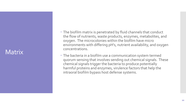#### **Matrix**

- The biofilm matrix is penetrated by fluid channels that conduct the flow of nutrients, waste products, enzymes, metabolites, and oxygen. The microcolonies within the biofilm have micro environments with differing pH's, nutrient availability, and oxygen concentrations.
- The bacteria in a biofilm use a communication system termed quorum sensing that involves sending out chemical signals. These chemical signals trigger the bacteria to produce potentially harmful proteins and enzymes, virulence factors that help the intraoral biofilm bypass host defense systems.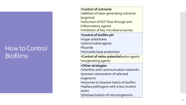### How to Control **Biofilms**

•**Control of nutrients** •addition of base-generating nutrients (arginine) •reduction of GCF flow through anti inflammatory agents •inhibition of key microbial enzymes •**Control of biofilm pH** •sugar substitutes •antimicrobial agents •fluoride •stimulate base production •**Control of redox potential**redox agents •oxygenating agents •**Other strategies** •interfere with communication networks •prevent colonization of selected organisms •enzymes to dissolve matrix of biofilm •replace pathogens with a less virulent strain •photoactivation of microorganisms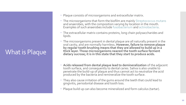# What is Plaque

- Plaque consists of microorganisms and extracellular matrix.
- The microorganisms that form the biofilm are mainly Streptococcus mutans and anaerobes, with the composition varying by location in the mouth. Examples of such anaerobes include fusobacterium and actinobacteria.
- The extracellular matrix contains proteins, long chain polysaccharides and lipids.
- The microorganisms present in dental plaque are all naturally present in the oral cavity, and are normally harmless**. However, failure to remove plaque by regular tooth brushing means that they are allowed to build up in a thick layer. Those microorganisms nearest the tooth surface ferment dietary sucrose; it is in this state that they start to produce acids.**
- **Acids released from dental plaque lead to demineralization** of the adjacent tooth surface, and consequently to dental caries. Saliva is also unable to penetrate the build-up of plaque and thus cannot act to neutralize the acid produced by the bacteria and remineralize the tooth surface.
- They also cause irritation of the gums around the teeth that could lead to gingivitis, periodontal disease and tooth loss.
- Plaque build up can also become mineralized and form calculus (tartar).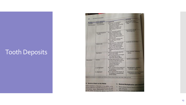# Tooth Deposits

| 292                        | <b>SECTION III . ASSESSMENT</b>           |                                                                                                                                                                                                                                       | <b>DERIVATION</b>                                                   |  |
|----------------------------|-------------------------------------------|---------------------------------------------------------------------------------------------------------------------------------------------------------------------------------------------------------------------------------------|---------------------------------------------------------------------|--|
|                            | TABLE 17-1 TOOTH DEPOSITS                 | <b>DESCRIPTION</b>                                                                                                                                                                                                                    | Supragingival: saliva<br>Subgingival: Gingival subs<br><b>fluid</b> |  |
|                            | <b>TOOTH DEPOSIT</b>                      | Translucent, homogeneous,                                                                                                                                                                                                             |                                                                     |  |
| CATEGORY<br>Nonmineralized | Acquired pellicle                         | thin, unstructured film<br>covering and adherent to the<br>surfaces of the teeth,<br>restorations, calculus, and<br>other surfaces in the oral                                                                                        |                                                                     |  |
|                            |                                           | cavity                                                                                                                                                                                                                                | Colonization of oral<br>microorganisms                              |  |
|                            | Microbial (bacterial)<br>biofilm.         | Dense, organized bacterial<br>systems embedded in an<br>intermicrobial matrix that<br>adhere closely to the teeth,<br>calculus, and other surfaces in<br>the oral cavity<br>Water irrigation removes only<br>the outer layer of loose |                                                                     |  |
|                            |                                           | organisms                                                                                                                                                                                                                             | Incidental accumulation                                             |  |
|                            | Materia alba                              | Loosely adherent, unstructured,<br>white or grayish-white mass<br>of oral debris and bacteria<br>that lies over dental biofilm<br>Vigorous rinsing and water<br>irrigation can remove materia<br>alba                                 |                                                                     |  |
|                            |                                           | Unstructured, loosely attached                                                                                                                                                                                                        | Food retention following                                            |  |
|                            | <b>Food debris</b>                        | particulate matter<br>Self-cleansing activity of tongue<br>and saliva and rinsing<br>vigorously remove debris                                                                                                                         | eating                                                              |  |
| Mineralized                | Calculus                                  | Calcified dental biofilm; hard,<br>tenacious mass that forms on<br>the clinical crowns of the<br>natural teeth and on<br>dentures and other<br>appliances                                                                             | <b>Biofilm mineralization</b>                                       |  |
|                            | a. supragingival                          | Occurs coronal to the margin of<br>the gingiva; is covered with<br>dental biofilm                                                                                                                                                     | Supragingival: source of<br>minerals is saliva.                     |  |
|                            | b. subgingival                            | Occurs apical to the margin of<br>the gingiva; is covered with<br>dental biofilm                                                                                                                                                      | Subgingival: source of minera<br>is gingival sulcus fluid           |  |
|                            |                                           | Adapted from Schroeder, H.E.: Formation and Inhibition of Dental Calculus, Vienna, Hans Huber, 1969, pp. 14-15.                                                                                                                       |                                                                     |  |
|                            | <b>B.</b> Bacteria Attach to the Pellicle |                                                                                                                                                                                                                                       | C. Bacterial Multiplication and Colonia                             |  |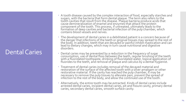# Dental Caries

- A tooth disease caused by the complex interaction of food, especially starches and sugars, with the bacteria that form dental plaque. The term also refers to the tooth cavities that result from the disease. Plaque bacteria produce acids that cause demineralization of enamel and enzymes that attack the protein component of the tooth. This process, if untreated, ultimately leads to the formation of deep cavities and bacterial infection of the pulp chamber, which contains blood vessels and nerves.
- The development of dental caries in a debilitated patient is a concern because of the danger that infections of the teeth or gingival tissues may spread to the rest of the body. In addition, teeth that are decayed or painful inhibit mastication and can lead to dietary changes, which may in turn cause nutritional and digestive disorders.
- Dental caries may be prevented by a reduction in the frequency of sugar consumption, usé of dental floss between the teeth, regular brushing of the teeth with a fluoridated toothpaste, drinking of fluoridated water, topical application of fluorides to the teeth, and removal of plaque and calculus by a dental hygienist.
- Treatment of dental caries includes removal of the decayed material and restoration of the surface of the affected tooth with a silver amalgam or other restorative material. If the cavity has reached the pulp chamber, it may be necessary to remove the pulp tissues to alleviate pain, prevent the spread of infection to the rest of the body, and allow the continued use of the tooth.
- Alternatively, the entire tooth may be extracted. Kinds of dental caries include arrested dental caries, incipient déntal caries, pit and fissure cavity, primary dental caries, secondary dental caries, smooth surface cavity.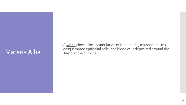### Materia Alba

• A white cheeselike accumulation of food debris, microorganisms, desquamated epithelial cells, and blood cells deposited around the teeth at the gumline.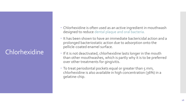# **Chlorhexidine**

- Chlorhexidine is often used as an active ingredient in mouthwash designed to reduce dental plaque and oral bacteria.
- It has been shown to have an immediate bactericidal action and a prolonged bacteriostatic action due to adsorption onto the pellicle-coated enamel surface.
- If it is not deactivated, chlorhexidine lasts longer in the mouth than other mouthwashes, which is partly why it is to be preferred over other treatments for gingivitis.
- To treat periodontal pockets equal or greater than 5 mm, chlorhexidine is also available in high concentration (36%) in a gelatine-chip.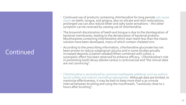# Continued

- Continued use of products containing chlorhexidine for long periods can cause stains on teeth, tongue, and gingiva, also on silicate and resin restorations; prolonged use can also reduce bitter and salty taste sensations – this latter symptom can be reversed by ceasing use of chlorhexidine.
- The brownish discoloration of teeth and tongue is due to the disintegration of bacterial membranes, leading to the denaturation of bacterial proteins. Mouthwashes containing chlorhexidine which stain teeth less than the classic solution have been developed, many of which contain chelated zinc.
- According to the prescribing information, chlorhexidine gluconate has not been proven to reduce subgingival calculus and in some studies actually increased deposits.[citation needed] When combined with xylitol, a synergistic effect has been observed to enhance efficacy. Chlorhexidine's role in preventing tooth decay (dental caries) is controversial and "the clinical data are not convincing".
- Chlorhexidine is neutralized by common toothpaste additives such as sodium lauryl sulfate and sodium monofluorophosphate. Although data are limited, to maximize effectiveness, it may be best to keep more than a 30-minute interval between brushing and using the mouthwash, ″cautiously close to 2 hours after brushing".